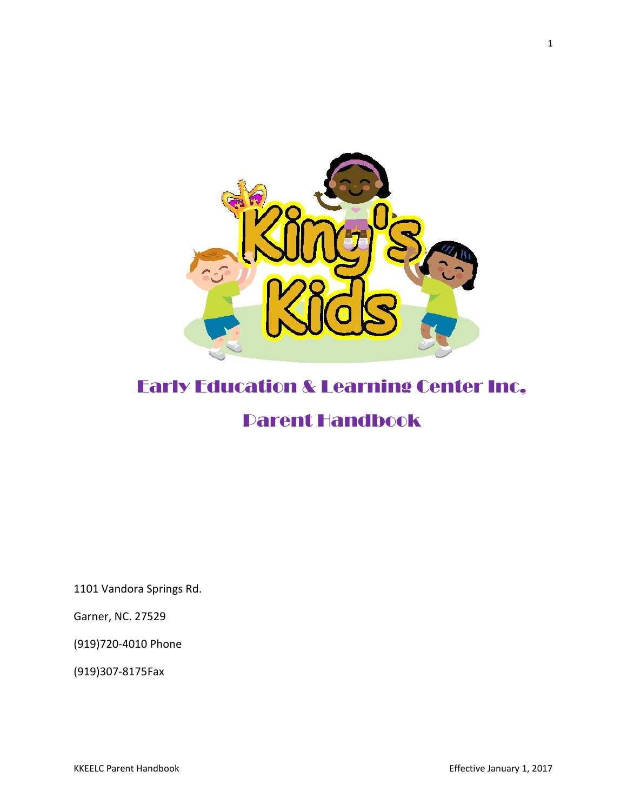

# Early Education & Learning Center Inc,

## Parent Handbook

1101 Vandora Springs Rd.

Garner, NC. 27529

(919)720-4010 Phone

(919)307-8175Fax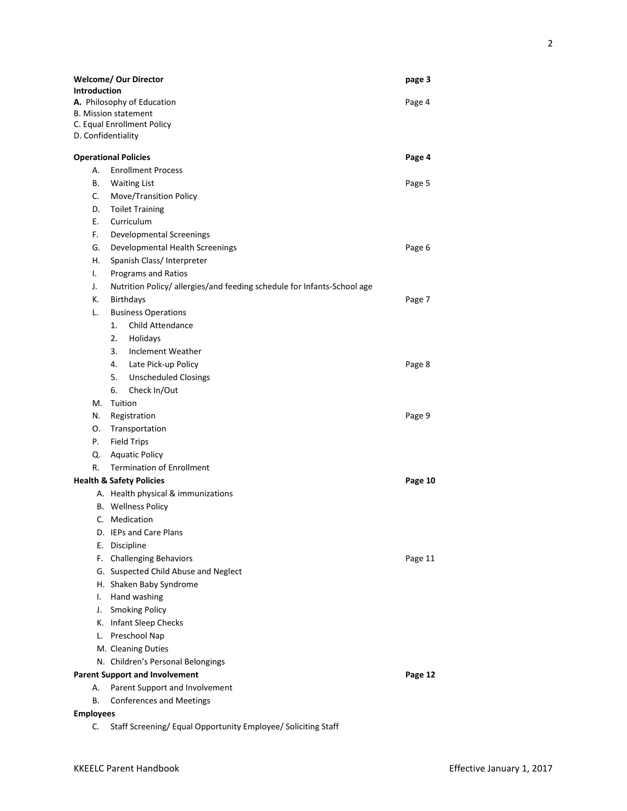| <b>Welcome/ Our Director</b>                              |                                                                         | page 3  |  |
|-----------------------------------------------------------|-------------------------------------------------------------------------|---------|--|
| <b>Introduction</b>                                       |                                                                         |         |  |
| A. Philosophy of Education<br><b>B. Mission statement</b> |                                                                         | Page 4  |  |
|                                                           | C. Equal Enrollment Policy                                              |         |  |
| D. Confidentiality                                        |                                                                         |         |  |
|                                                           |                                                                         |         |  |
|                                                           | <b>Operational Policies</b>                                             | Page 4  |  |
| А.                                                        | <b>Enrollment Process</b>                                               |         |  |
| В.                                                        | <b>Waiting List</b>                                                     | Page 5  |  |
| C.                                                        | Move/Transition Policy                                                  |         |  |
| D.                                                        | <b>Toilet Training</b>                                                  |         |  |
| Е.                                                        | Curriculum                                                              |         |  |
| F.                                                        | <b>Developmental Screenings</b>                                         |         |  |
| G.                                                        | Developmental Health Screenings                                         | Page 6  |  |
| Η.                                                        | Spanish Class/ Interpreter                                              |         |  |
| I.                                                        | <b>Programs and Ratios</b>                                              |         |  |
| J.                                                        | Nutrition Policy/ allergies/and feeding schedule for Infants-School age |         |  |
| К.                                                        | <b>Birthdays</b>                                                        | Page 7  |  |
| L.                                                        | <b>Business Operations</b>                                              |         |  |
|                                                           | Child Attendance<br>1.                                                  |         |  |
|                                                           | 2.<br>Holidays                                                          |         |  |
|                                                           | 3.<br>Inclement Weather                                                 |         |  |
|                                                           | 4.<br>Late Pick-up Policy                                               | Page 8  |  |
|                                                           | 5.<br><b>Unscheduled Closings</b>                                       |         |  |
|                                                           | 6.<br>Check In/Out                                                      |         |  |
| M.                                                        | Tuition                                                                 |         |  |
| N.                                                        | Registration                                                            | Page 9  |  |
| О.                                                        | Transportation                                                          |         |  |
| Ρ.                                                        | <b>Field Trips</b>                                                      |         |  |
| Q.                                                        | <b>Aquatic Policy</b>                                                   |         |  |
| R.                                                        | <b>Termination of Enrollment</b>                                        |         |  |
|                                                           | <b>Health &amp; Safety Policies</b>                                     | Page 10 |  |
|                                                           | A. Health physical & immunizations                                      |         |  |
|                                                           | <b>B.</b> Wellness Policy                                               |         |  |
|                                                           | C. Medication                                                           |         |  |
|                                                           | D. IEPs and Care Plans                                                  |         |  |
|                                                           | E. Discipline                                                           |         |  |
| F.                                                        | <b>Challenging Behaviors</b>                                            | Page 11 |  |
|                                                           | G. Suspected Child Abuse and Neglect                                    |         |  |
|                                                           | H. Shaken Baby Syndrome                                                 |         |  |
| L.                                                        | Hand washing                                                            |         |  |
| J.                                                        | <b>Smoking Policy</b>                                                   |         |  |
|                                                           | K. Infant Sleep Checks                                                  |         |  |
|                                                           | L. Preschool Nap                                                        |         |  |
|                                                           | M. Cleaning Duties                                                      |         |  |
|                                                           | N. Children's Personal Belongings                                       |         |  |
|                                                           | <b>Parent Support and Involvement</b>                                   | Page 12 |  |
| А.                                                        | Parent Support and Involvement                                          |         |  |
| В.                                                        | <b>Conferences and Meetings</b>                                         |         |  |
| <b>Employees</b>                                          |                                                                         |         |  |
| C.                                                        | Staff Screening/ Equal Opportunity Employee/ Soliciting Staff           |         |  |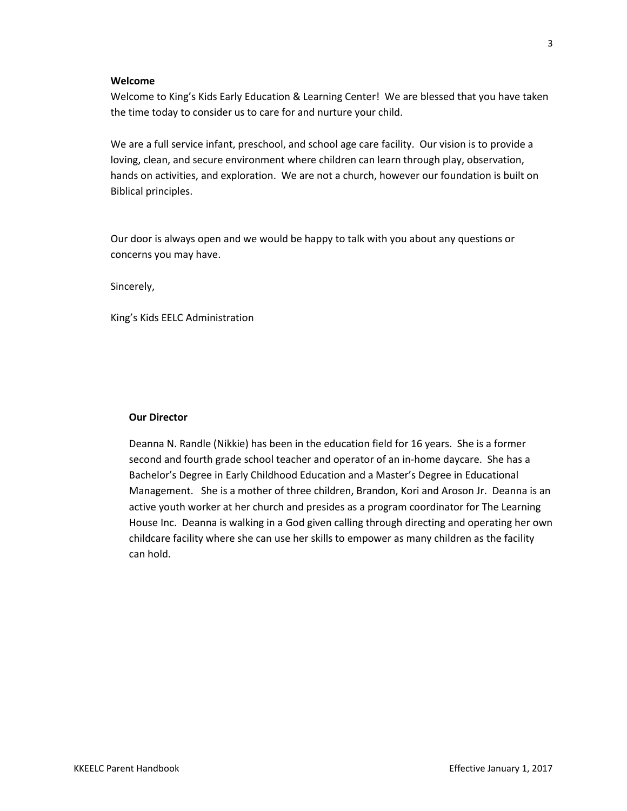#### **Welcome**

Welcome to King's Kids Early Education & Learning Center! We are blessed that you have taken the time today to consider us to care for and nurture your child.

We are a full service infant, preschool, and school age care facility. Our vision is to provide a loving, clean, and secure environment where children can learn through play, observation, hands on activities, and exploration. We are not a church, however our foundation is built on Biblical principles.

Our door is always open and we would be happy to talk with you about any questions or concerns you may have.

Sincerely,

King's Kids EELC Administration

#### **Our Director**

Deanna N. Randle (Nikkie) has been in the education field for 16 years. She is a former second and fourth grade school teacher and operator of an in-home daycare. She has a Bachelor's Degree in Early Childhood Education and a Master's Degree in Educational Management. She is a mother of three children, Brandon, Kori and Aroson Jr. Deanna is an active youth worker at her church and presides as a program coordinator for The Learning House Inc. Deanna is walking in a God given calling through directing and operating her own childcare facility where she can use her skills to empower as many children as the facility can hold.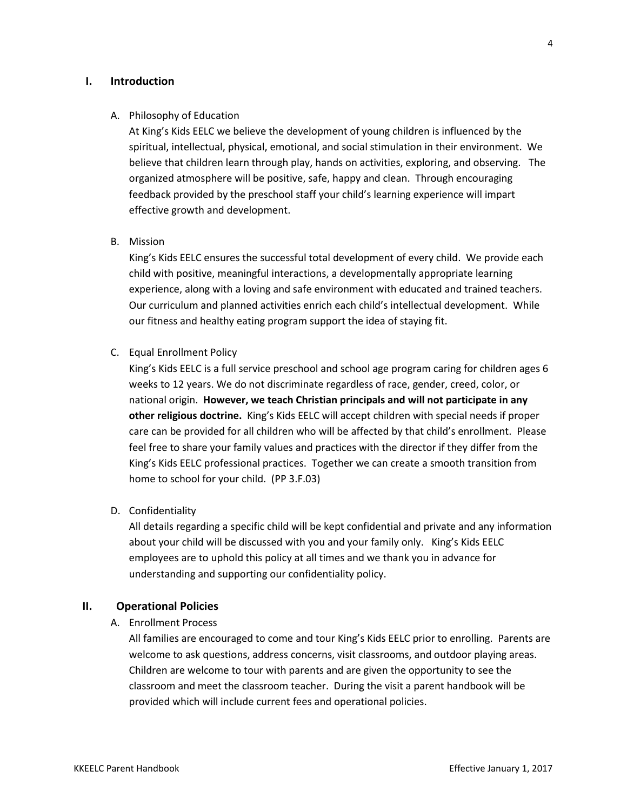#### **I. Introduction**

#### A. Philosophy of Education

At King's Kids EELC we believe the development of young children is influenced by the spiritual, intellectual, physical, emotional, and social stimulation in their environment. We believe that children learn through play, hands on activities, exploring, and observing. The organized atmosphere will be positive, safe, happy and clean. Through encouraging feedback provided by the preschool staff your child's learning experience will impart effective growth and development.

B. Mission

King's Kids EELC ensures the successful total development of every child. We provide each child with positive, meaningful interactions, a developmentally appropriate learning experience, along with a loving and safe environment with educated and trained teachers. Our curriculum and planned activities enrich each child's intellectual development. While our fitness and healthy eating program support the idea of staying fit.

#### C. Equal Enrollment Policy

King's Kids EELC is a full service preschool and school age program caring for children ages 6 weeks to 12 years. We do not discriminate regardless of race, gender, creed, color, or national origin. **However, we teach Christian principals and will not participate in any other religious doctrine.** King's Kids EELC will accept children with special needs if proper care can be provided for all children who will be affected by that child's enrollment. Please feel free to share your family values and practices with the director if they differ from the King's Kids EELC professional practices. Together we can create a smooth transition from home to school for your child. (PP 3.F.03)

D. Confidentiality

All details regarding a specific child will be kept confidential and private and any information about your child will be discussed with you and your family only. King's Kids EELC employees are to uphold this policy at all times and we thank you in advance for understanding and supporting our confidentiality policy.

#### **II. Operational Policies**

A. Enrollment Process

All families are encouraged to come and tour King's Kids EELC prior to enrolling. Parents are welcome to ask questions, address concerns, visit classrooms, and outdoor playing areas. Children are welcome to tour with parents and are given the opportunity to see the classroom and meet the classroom teacher. During the visit a parent handbook will be provided which will include current fees and operational policies.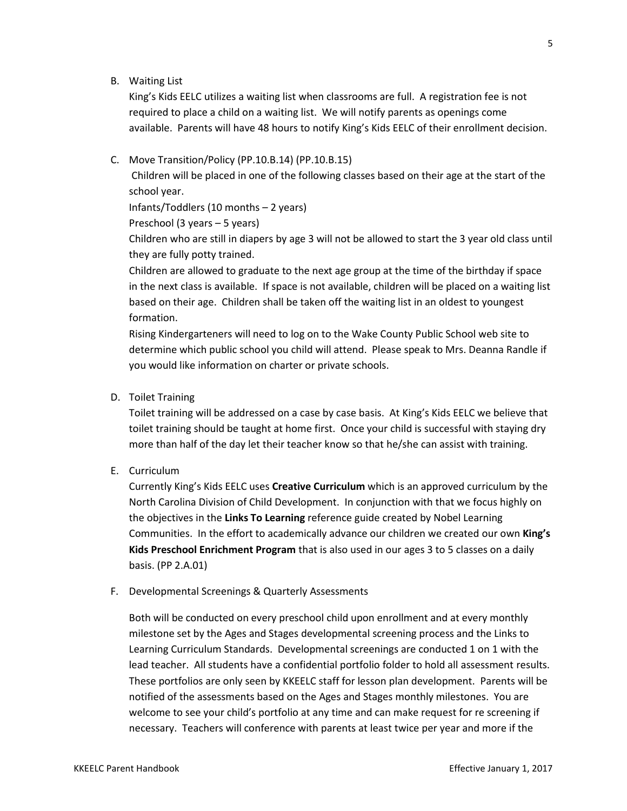B. Waiting List

King's Kids EELC utilizes a waiting list when classrooms are full. A registration fee is not required to place a child on a waiting list. We will notify parents as openings come available. Parents will have 48 hours to notify King's Kids EELC of their enrollment decision.

#### C. Move Transition/Policy (PP.10.B.14) (PP.10.B.15)

Children will be placed in one of the following classes based on their age at the start of the school year.

Infants/Toddlers (10 months – 2 years)

Preschool (3 years – 5 years)

Children who are still in diapers by age 3 will not be allowed to start the 3 year old class until they are fully potty trained.

Children are allowed to graduate to the next age group at the time of the birthday if space in the next class is available. If space is not available, children will be placed on a waiting list based on their age. Children shall be taken off the waiting list in an oldest to youngest formation.

Rising Kindergarteners will need to log on to the Wake County Public School web site to determine which public school you child will attend. Please speak to Mrs. Deanna Randle if you would like information on charter or private schools.

D. Toilet Training

Toilet training will be addressed on a case by case basis. At King's Kids EELC we believe that toilet training should be taught at home first. Once your child is successful with staying dry more than half of the day let their teacher know so that he/she can assist with training.

E. Curriculum

Currently King's Kids EELC uses **Creative Curriculum** which is an approved curriculum by the North Carolina Division of Child Development. In conjunction with that we focus highly on the objectives in the **Links To Learning** reference guide created by Nobel Learning Communities. In the effort to academically advance our children we created our own **King's Kids Preschool Enrichment Program** that is also used in our ages 3 to 5 classes on a daily basis. (PP 2.A.01)

F. Developmental Screenings & Quarterly Assessments

Both will be conducted on every preschool child upon enrollment and at every monthly milestone set by the Ages and Stages developmental screening process and the Links to Learning Curriculum Standards. Developmental screenings are conducted 1 on 1 with the lead teacher. All students have a confidential portfolio folder to hold all assessment results. These portfolios are only seen by KKEELC staff for lesson plan development. Parents will be notified of the assessments based on the Ages and Stages monthly milestones. You are welcome to see your child's portfolio at any time and can make request for re screening if necessary. Teachers will conference with parents at least twice per year and more if the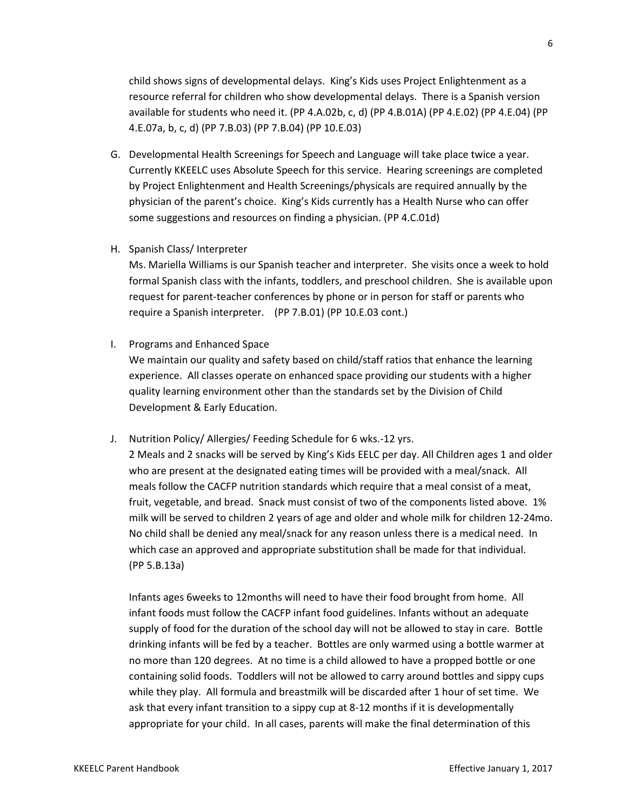child shows signs of developmental delays. King's Kids uses Project Enlightenment as a resource referral for children who show developmental delays. There is a Spanish version available for students who need it. (PP 4.A.02b, c, d) (PP 4.B.01A) (PP 4.E.02) (PP 4.E.04) (PP 4.E.07a, b, c, d) (PP 7.B.03) (PP 7.B.04) (PP 10.E.03)

- G. Developmental Health Screenings for Speech and Language will take place twice a year. Currently KKEELC uses Absolute Speech for this service. Hearing screenings are completed by Project Enlightenment and Health Screenings/physicals are required annually by the physician of the parent's choice. King's Kids currently has a Health Nurse who can offer some suggestions and resources on finding a physician. (PP 4.C.01d)
- H. Spanish Class/ Interpreter

Ms. Mariella Williams is our Spanish teacher and interpreter. She visits once a week to hold formal Spanish class with the infants, toddlers, and preschool children. She is available upon request for parent-teacher conferences by phone or in person for staff or parents who require a Spanish interpreter. (PP 7.B.01) (PP 10.E.03 cont.)

I. Programs and Enhanced Space

We maintain our quality and safety based on child/staff ratios that enhance the learning experience. All classes operate on enhanced space providing our students with a higher quality learning environment other than the standards set by the Division of Child Development & Early Education.

J. Nutrition Policy/ Allergies/ Feeding Schedule for 6 wks.-12 yrs.

2 Meals and 2 snacks will be served by King's Kids EELC per day. All Children ages 1 and older who are present at the designated eating times will be provided with a meal/snack. All meals follow the CACFP nutrition standards which require that a meal consist of a meat, fruit, vegetable, and bread. Snack must consist of two of the components listed above. 1% milk will be served to children 2 years of age and older and whole milk for children 12-24mo. No child shall be denied any meal/snack for any reason unless there is a medical need. In which case an approved and appropriate substitution shall be made for that individual. (PP 5.B.13a)

Infants ages 6weeks to 12months will need to have their food brought from home. All infant foods must follow the CACFP infant food guidelines. Infants without an adequate supply of food for the duration of the school day will not be allowed to stay in care. Bottle drinking infants will be fed by a teacher. Bottles are only warmed using a bottle warmer at no more than 120 degrees. At no time is a child allowed to have a propped bottle or one containing solid foods. Toddlers will not be allowed to carry around bottles and sippy cups while they play. All formula and breastmilk will be discarded after 1 hour of set time. We ask that every infant transition to a sippy cup at 8-12 months if it is developmentally appropriate for your child. In all cases, parents will make the final determination of this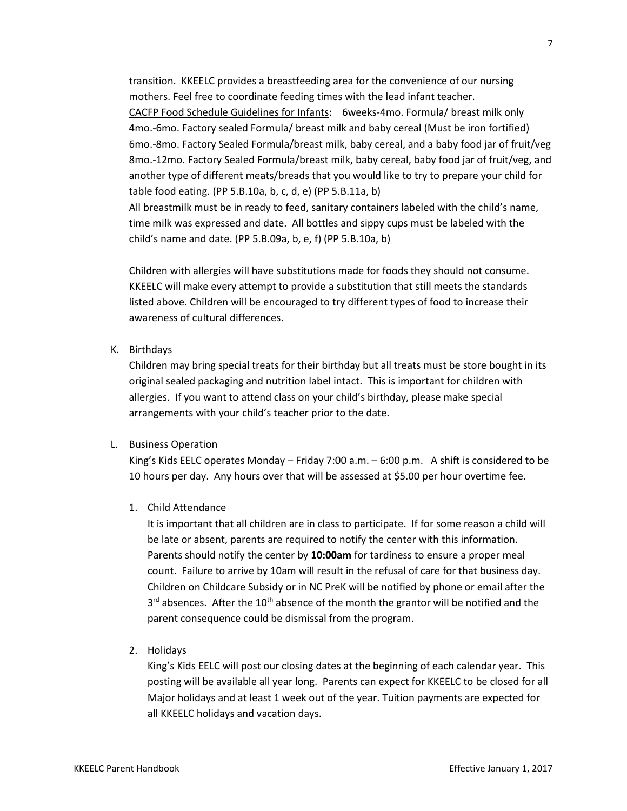transition. KKEELC provides a breastfeeding area for the convenience of our nursing mothers. Feel free to coordinate feeding times with the lead infant teacher. CACFP Food Schedule Guidelines for Infants: 6weeks-4mo. Formula/ breast milk only 4mo.-6mo. Factory sealed Formula/ breast milk and baby cereal (Must be iron fortified) 6mo.-8mo. Factory Sealed Formula/breast milk, baby cereal, and a baby food jar of fruit/veg 8mo.-12mo. Factory Sealed Formula/breast milk, baby cereal, baby food jar of fruit/veg, and another type of different meats/breads that you would like to try to prepare your child for table food eating. (PP 5.B.10a, b, c, d, e) (PP 5.B.11a, b) All breastmilk must be in ready to feed, sanitary containers labeled with the child's name, time milk was expressed and date. All bottles and sippy cups must be labeled with the child's name and date. (PP 5.B.09a, b, e, f) (PP 5.B.10a, b)

Children with allergies will have substitutions made for foods they should not consume. KKEELC will make every attempt to provide a substitution that still meets the standards listed above. Children will be encouraged to try different types of food to increase their awareness of cultural differences.

K. Birthdays

Children may bring special treats for their birthday but all treats must be store bought in its original sealed packaging and nutrition label intact. This is important for children with allergies. If you want to attend class on your child's birthday, please make special arrangements with your child's teacher prior to the date.

L. Business Operation

King's Kids EELC operates Monday – Friday 7:00 a.m. – 6:00 p.m. A shift is considered to be 10 hours per day. Any hours over that will be assessed at \$5.00 per hour overtime fee.

1. Child Attendance

It is important that all children are in class to participate. If for some reason a child will be late or absent, parents are required to notify the center with this information. Parents should notify the center by **10:00am** for tardiness to ensure a proper meal count. Failure to arrive by 10am will result in the refusal of care for that business day. Children on Childcare Subsidy or in NC PreK will be notified by phone or email after the 3<sup>rd</sup> absences. After the 10<sup>th</sup> absence of the month the grantor will be notified and the parent consequence could be dismissal from the program.

2. Holidays

King's Kids EELC will post our closing dates at the beginning of each calendar year. This posting will be available all year long. Parents can expect for KKEELC to be closed for all Major holidays and at least 1 week out of the year. Tuition payments are expected for all KKEELC holidays and vacation days.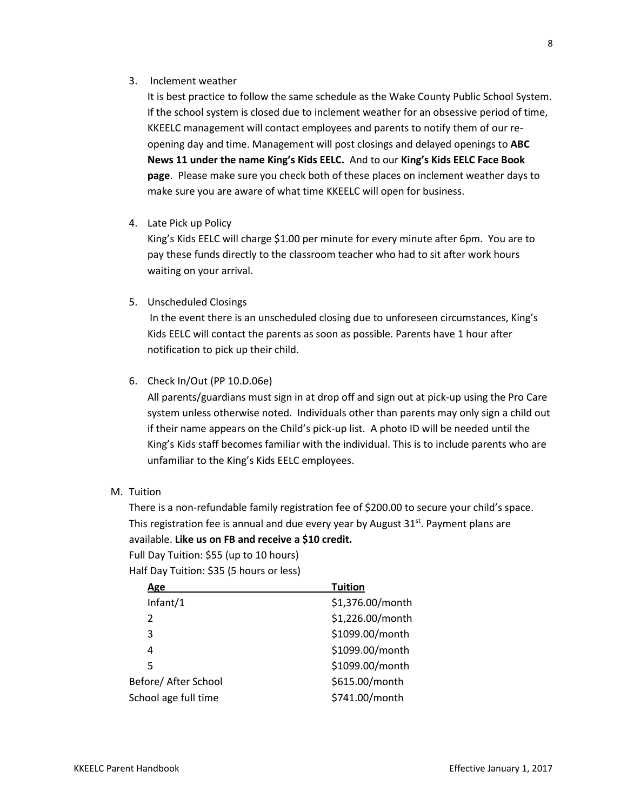#### 3. Inclement weather

It is best practice to follow the same schedule as the Wake County Public School System. If the school system is closed due to inclement weather for an obsessive period of time, KKEELC management will contact employees and parents to notify them of our reopening day and time. Management will post closings and delayed openings to **ABC News 11 under the name King's Kids EELC.** And to our **King's Kids EELC Face Book page**. Please make sure you check both of these places on inclement weather days to make sure you are aware of what time KKEELC will open for business.

4. Late Pick up Policy

King's Kids EELC will charge \$1.00 per minute for every minute after 6pm. You are to pay these funds directly to the classroom teacher who had to sit after work hours waiting on your arrival.

5. Unscheduled Closings

In the event there is an unscheduled closing due to unforeseen circumstances, King's Kids EELC will contact the parents as soon as possible. Parents have 1 hour after notification to pick up their child.

6. Check In/Out (PP 10.D.06e)

All parents/guardians must sign in at drop off and sign out at pick-up using the Pro Care system unless otherwise noted. Individuals other than parents may only sign a child out if their name appears on the Child's pick-up list. A photo ID will be needed until the King's Kids staff becomes familiar with the individual. This is to include parents who are unfamiliar to the King's Kids EELC employees.

M. Tuition

There is a non-refundable family registration fee of \$200.00 to secure your child's space. This registration fee is annual and due every year by August  $31^{st}$ . Payment plans are available. **Like us on FB and receive a \$10 credit.**

Full Day Tuition: \$55 (up to 10 hours) Half Day Tuition: \$35 (5 hours or less)

| Age                  | <b>Tuition</b>   |
|----------------------|------------------|
| Infant/1             | \$1,376.00/month |
| $\mathcal{P}$        | \$1,226.00/month |
| 3                    | \$1099.00/month  |
| 4                    | \$1099.00/month  |
| 5                    | \$1099.00/month  |
| Before/ After School | \$615.00/month   |
| School age full time | \$741.00/month   |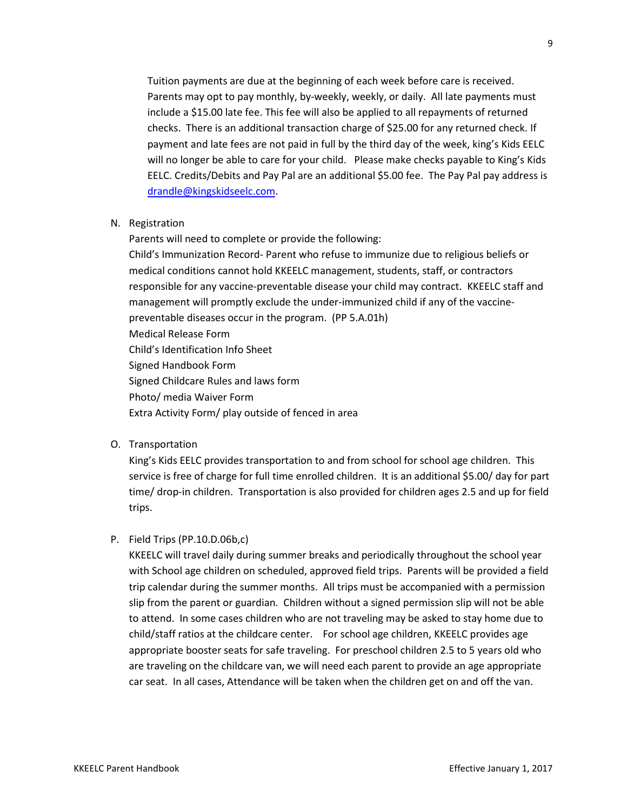Tuition payments are due at the beginning of each week before care is received. Parents may opt to pay monthly, by-weekly, weekly, or daily. All late payments must include a \$15.00 late fee. This fee will also be applied to all repayments of returned checks. There is an additional transaction charge of \$25.00 for any returned check. If payment and late fees are not paid in full by the third day of the week, king's Kids EELC will no longer be able to care for your child. Please make checks payable to King's Kids EELC. Credits/Debits and Pay Pal are an additional \$5.00 fee. The Pay Pal pay address is [drandle@kingskidseelc.com.](mailto:drandle@kingskidseelc.com)

N. Registration

Parents will need to complete or provide the following:

Child's Immunization Record- Parent who refuse to immunize due to religious beliefs or medical conditions cannot hold KKEELC management, students, staff, or contractors responsible for any vaccine-preventable disease your child may contract. KKEELC staff and management will promptly exclude the under-immunized child if any of the vaccinepreventable diseases occur in the program. (PP 5.A.01h) Medical Release Form Child's Identification Info Sheet Signed Handbook Form Signed Childcare Rules and laws form Photo/ media Waiver Form Extra Activity Form/ play outside of fenced in area

O. Transportation

King's Kids EELC provides transportation to and from school for school age children. This service is free of charge for full time enrolled children. It is an additional \$5.00/ day for part time/ drop-in children. Transportation is also provided for children ages 2.5 and up for field trips.

#### P. Field Trips (PP.10.D.06b,c)

KKEELC will travel daily during summer breaks and periodically throughout the school year with School age children on scheduled, approved field trips. Parents will be provided a field trip calendar during the summer months. All trips must be accompanied with a permission slip from the parent or guardian. Children without a signed permission slip will not be able to attend. In some cases children who are not traveling may be asked to stay home due to child/staff ratios at the childcare center. For school age children, KKEELC provides age appropriate booster seats for safe traveling. For preschool children 2.5 to 5 years old who are traveling on the childcare van, we will need each parent to provide an age appropriate car seat. In all cases, Attendance will be taken when the children get on and off the van.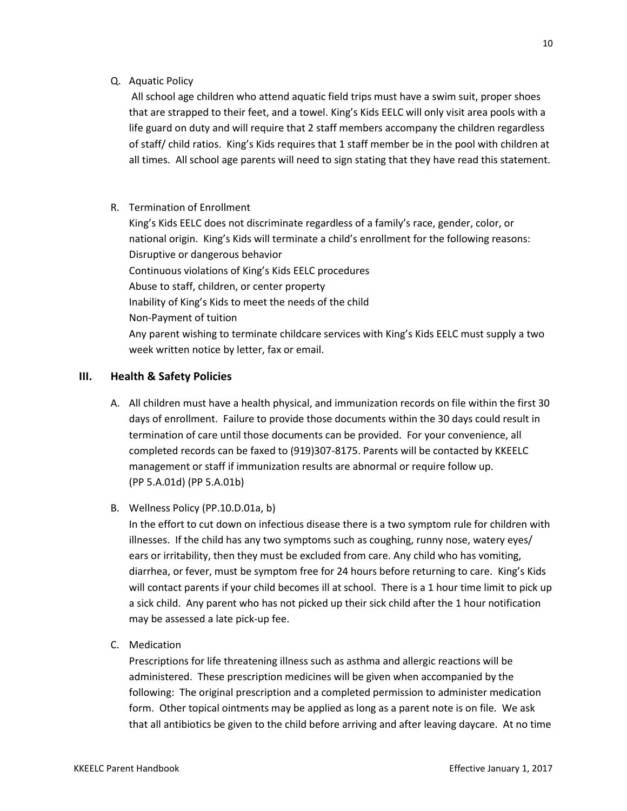### Q. Aquatic Policy

All school age children who attend aquatic field trips must have a swim suit, proper shoes that are strapped to their feet, and a towel. King's Kids EELC will only visit area pools with a life guard on duty and will require that 2 staff members accompany the children regardless of staff/ child ratios. King's Kids requires that 1 staff member be in the pool with children at all times. All school age parents will need to sign stating that they have read this statement.

## R. Termination of Enrollment

King's Kids EELC does not discriminate regardless of a family's race, gender, color, or national origin. King's Kids will terminate a child's enrollment for the following reasons: Disruptive or dangerous behavior Continuous violations of King's Kids EELC procedures Abuse to staff, children, or center property Inability of King's Kids to meet the needs of the child Non-Payment of tuition Any parent wishing to terminate childcare services with King's Kids EELC must supply a two week written notice by letter, fax or email.

## **III. Health & Safety Policies**

A. All children must have a health physical, and immunization records on file within the first 30 days of enrollment. Failure to provide those documents within the 30 days could result in termination of care until those documents can be provided. For your convenience, all completed records can be faxed to (919)307-8175. Parents will be contacted by KKEELC management or staff if immunization results are abnormal or require follow up. (PP 5.A.01d) (PP 5.A.01b)

## B. Wellness Policy (PP.10.D.01a, b)

In the effort to cut down on infectious disease there is a two symptom rule for children with illnesses. If the child has any two symptoms such as coughing, runny nose, watery eyes/ ears or irritability, then they must be excluded from care. Any child who has vomiting, diarrhea, or fever, must be symptom free for 24 hours before returning to care. King's Kids will contact parents if your child becomes ill at school. There is a 1 hour time limit to pick up a sick child. Any parent who has not picked up their sick child after the 1 hour notification may be assessed a late pick-up fee.

C. Medication

Prescriptions for life threatening illness such as asthma and allergic reactions will be administered. These prescription medicines will be given when accompanied by the following: The original prescription and a completed permission to administer medication form. Other topical ointments may be applied as long as a parent note is on file. We ask that all antibiotics be given to the child before arriving and after leaving daycare. At no time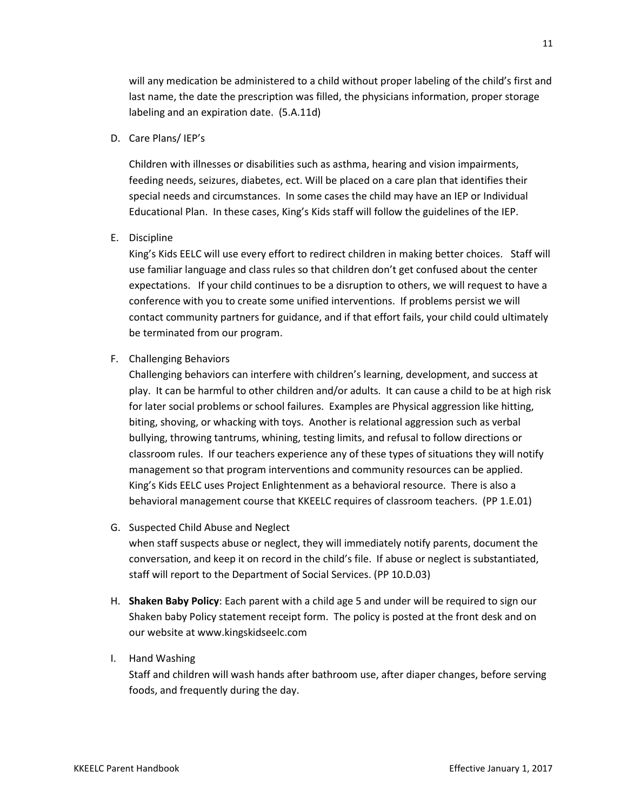will any medication be administered to a child without proper labeling of the child's first and last name, the date the prescription was filled, the physicians information, proper storage labeling and an expiration date. (5.A.11d)

D. Care Plans/ IEP's

Children with illnesses or disabilities such as asthma, hearing and vision impairments, feeding needs, seizures, diabetes, ect. Will be placed on a care plan that identifies their special needs and circumstances. In some cases the child may have an IEP or Individual Educational Plan. In these cases, King's Kids staff will follow the guidelines of the IEP.

E. Discipline

King's Kids EELC will use every effort to redirect children in making better choices. Staff will use familiar language and class rules so that children don't get confused about the center expectations. If your child continues to be a disruption to others, we will request to have a conference with you to create some unified interventions. If problems persist we will contact community partners for guidance, and if that effort fails, your child could ultimately be terminated from our program.

F. Challenging Behaviors

Challenging behaviors can interfere with children's learning, development, and success at play. It can be harmful to other children and/or adults. It can cause a child to be at high risk for later social problems or school failures. Examples are Physical aggression like hitting, biting, shoving, or whacking with toys. Another is relational aggression such as verbal bullying, throwing tantrums, whining, testing limits, and refusal to follow directions or classroom rules. If our teachers experience any of these types of situations they will notify management so that program interventions and community resources can be applied. King's Kids EELC uses Project Enlightenment as a behavioral resource. There is also a behavioral management course that KKEELC requires of classroom teachers. (PP 1.E.01)

G. Suspected Child Abuse and Neglect

when staff suspects abuse or neglect, they will immediately notify parents, document the conversation, and keep it on record in the child's file. If abuse or neglect is substantiated, staff will report to the Department of Social Services. (PP 10.D.03)

- H. **Shaken Baby Policy**: Each parent with a child age 5 and under will be required to sign our Shaken baby Policy statement receipt form. The policy is posted at the front desk and on our website at www.kingskidseelc.com
- I. Hand Washing

Staff and children will wash hands after bathroom use, after diaper changes, before serving foods, and frequently during the day.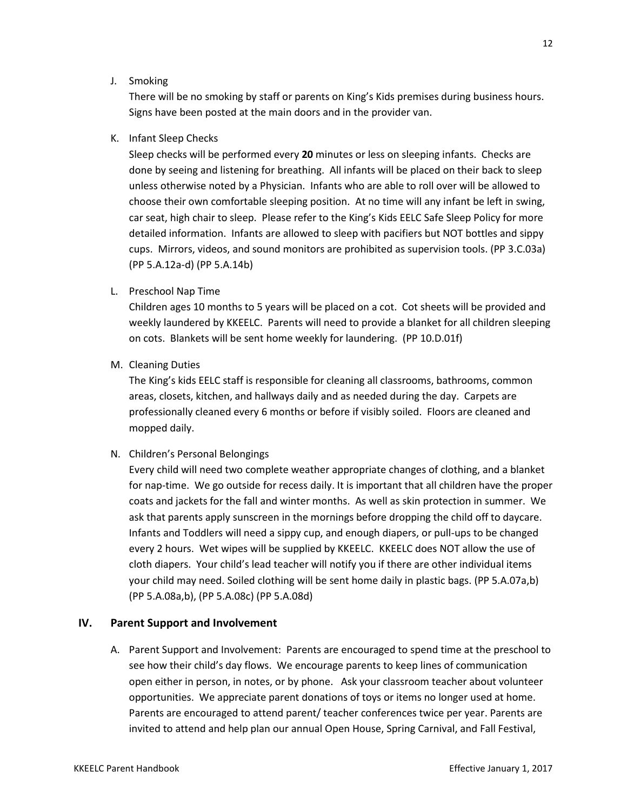J. Smoking

There will be no smoking by staff or parents on King's Kids premises during business hours. Signs have been posted at the main doors and in the provider van.

K. Infant Sleep Checks

Sleep checks will be performed every **20** minutes or less on sleeping infants. Checks are done by seeing and listening for breathing. All infants will be placed on their back to sleep unless otherwise noted by a Physician. Infants who are able to roll over will be allowed to choose their own comfortable sleeping position. At no time will any infant be left in swing, car seat, high chair to sleep. Please refer to the King's Kids EELC Safe Sleep Policy for more detailed information. Infants are allowed to sleep with pacifiers but NOT bottles and sippy cups. Mirrors, videos, and sound monitors are prohibited as supervision tools. (PP 3.C.03a) (PP 5.A.12a-d) (PP 5.A.14b)

L. Preschool Nap Time

Children ages 10 months to 5 years will be placed on a cot. Cot sheets will be provided and weekly laundered by KKEELC. Parents will need to provide a blanket for all children sleeping on cots. Blankets will be sent home weekly for laundering. (PP 10.D.01f)

M. Cleaning Duties

The King's kids EELC staff is responsible for cleaning all classrooms, bathrooms, common areas, closets, kitchen, and hallways daily and as needed during the day. Carpets are professionally cleaned every 6 months or before if visibly soiled. Floors are cleaned and mopped daily.

N. Children's Personal Belongings

Every child will need two complete weather appropriate changes of clothing, and a blanket for nap-time. We go outside for recess daily. It is important that all children have the proper coats and jackets for the fall and winter months. As well as skin protection in summer. We ask that parents apply sunscreen in the mornings before dropping the child off to daycare. Infants and Toddlers will need a sippy cup, and enough diapers, or pull-ups to be changed every 2 hours. Wet wipes will be supplied by KKEELC. KKEELC does NOT allow the use of cloth diapers. Your child's lead teacher will notify you if there are other individual items your child may need. Soiled clothing will be sent home daily in plastic bags. (PP 5.A.07a,b) (PP 5.A.08a,b), (PP 5.A.08c) (PP 5.A.08d)

#### **IV. Parent Support and Involvement**

A. Parent Support and Involvement: Parents are encouraged to spend time at the preschool to see how their child's day flows. We encourage parents to keep lines of communication open either in person, in notes, or by phone. Ask your classroom teacher about volunteer opportunities. We appreciate parent donations of toys or items no longer used at home. Parents are encouraged to attend parent/ teacher conferences twice per year. Parents are invited to attend and help plan our annual Open House, Spring Carnival, and Fall Festival,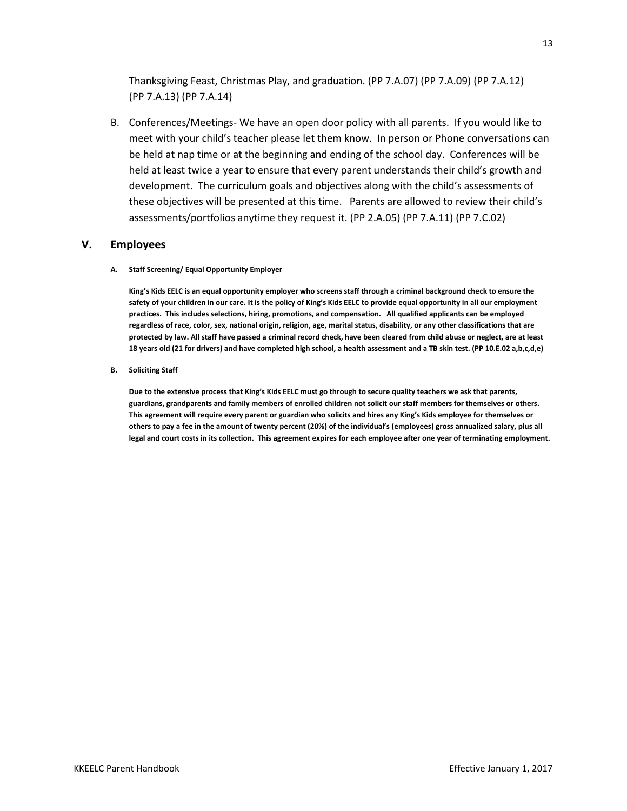Thanksgiving Feast, Christmas Play, and graduation. (PP 7.A.07) (PP 7.A.09) (PP 7.A.12) (PP 7.A.13) (PP 7.A.14)

B. Conferences/Meetings- We have an open door policy with all parents. If you would like to meet with your child's teacher please let them know. In person or Phone conversations can be held at nap time or at the beginning and ending of the school day. Conferences will be held at least twice a year to ensure that every parent understands their child's growth and development. The curriculum goals and objectives along with the child's assessments of these objectives will be presented at this time. Parents are allowed to review their child's assessments/portfolios anytime they request it. (PP 2.A.05) (PP 7.A.11) (PP 7.C.02)

### **V. Employees**

**A. Staff Screening/ Equal Opportunity Employer**

**King's Kids EELC is an equal opportunity employer who screens staff through a criminal background check to ensure the safety of your children in our care. It is the policy of King's Kids EELC to provide equal opportunity in all our employment practices. This includes selections, hiring, promotions, and compensation. All qualified applicants can be employed regardless of race, color, sex, national origin, religion, age, marital status, disability, or any other classifications that are protected by law. All staff have passed a criminal record check, have been cleared from child abuse or neglect, are at least 18 years old (21 for drivers) and have completed high school, a health assessment and a TB skin test. (PP 10.E.02 a,b,c,d,e)**

**B. Soliciting Staff**

**Due to the extensive process that King's Kids EELC must go through to secure quality teachers we ask that parents, guardians, grandparents and family members of enrolled children not solicit our staff members for themselves or others. This agreement will require every parent or guardian who solicits and hires any King's Kids employee for themselves or others to pay a fee in the amount of twenty percent (20%) of the individual's (employees) gross annualized salary, plus all legal and court costs in its collection. This agreement expires for each employee after one year of terminating employment.**